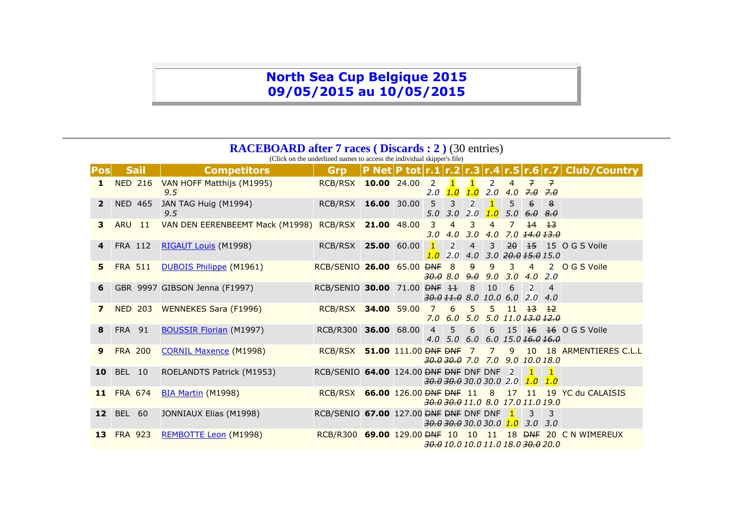## **North Sea Cup Belgique 2015 09/05/2015 au 10/05/2015**

## **RACEBOARD after 7 races ( Discards : 2 )** (30 entries)

(Click on the underlined names to access the individual skipper's file)

| <b>Pos</b>              | <b>Sail</b>      | <b>Competitors</b>                                  | Grp                                                   |             |                                                                   |                                   |                                                 |                       |                         |                                   |                                                        | <b>P Net P tot r.1 r.2 r.3 r.4 r.5 r.6 r.7 Club/Country</b>          |
|-------------------------|------------------|-----------------------------------------------------|-------------------------------------------------------|-------------|-------------------------------------------------------------------|-----------------------------------|-------------------------------------------------|-----------------------|-------------------------|-----------------------------------|--------------------------------------------------------|----------------------------------------------------------------------|
| 1                       |                  | NED 216 VAN HOFF Matthijs (M1995)<br>9.5            | RCB/RSX 10.00 24.00                                   |             | $\overline{2}$                                                    | $\blacksquare$<br>$2.0$ $1.0$     | $\blacksquare$<br>1.0                           | $\overline{2}$        | $\overline{4}$          | $\overline{7}$<br>$2.0$ 4.0 $7.0$ | $\overline{7}$<br>7.0                                  |                                                                      |
| $\overline{2}$          | <b>NED 465</b>   | JAN TAG Huig (M1994)<br>9.5                         | RCB/RSX 16.00 30.00                                   |             | $5^{\circ}$<br>5.0                                                | 3<br>3.0                          | $\overline{2}$<br>2.0                           | $\blacksquare$<br>1.0 | 5                       | 6<br>$5.0 \t6.0 \t8.0$            | 8                                                      |                                                                      |
| 3                       | <b>ARU</b><br>11 | VAN DEN EERENBEEMT Mack (M1998) RCB/RSX 21.00 48.00 |                                                       |             | 3                                                                 | $\overline{4}$<br>$3.0$ 4.0 $3.0$ | 3                                               | $\overline{4}$        | 7 <sup>1</sup>          | $14 \quad 13$                     | $4.0$ $7.0$ $14.0$ $13.0$                              |                                                                      |
| 4                       | FRA 112          | <b>RIGAUT Louis</b> (M1998)                         | RCB/RSX 25.00 60.00                                   |             | 1.0                                                               | $\mathbb{Z}$<br>2.0               | $\overline{4}$                                  | 3 <sup>1</sup>        |                         |                                   | $4.0$ $3.0$ $\overline{20.0}$ $\overline{15.0}$ $15.0$ | 20 15 15 0 G S Voile                                                 |
| 5                       | <b>FRA 511</b>   | <b>DUBOIS Philippe (M1961)</b>                      | RCB/SENIO 26.00 65.00 <del>DNF</del> 8                |             | $\frac{30.0}{30.0}$ 8.0 $\frac{9.0}{3.0}$ 3.0 4.0 2.0             |                                   | 9                                               | 9                     | $\overline{\mathbf{3}}$ | $\overline{4}$                    |                                                        | 2 O G S Voile                                                        |
| 6                       |                  | GBR 9997 GIBSON Jenna (F1997)                       | RCB/SENIO 30.00 71.00 <del>DNF 11</del>               |             | $30.011.0$ 8.0 10.0 6.0 2.0 4.0                                   |                                   | $\left  \begin{array}{c} 8 \end{array} \right $ | 10 <sup>1</sup>       | 6                       | $\overline{\phantom{a}}$          | 4                                                      |                                                                      |
| $\overline{\mathbf{z}}$ | <b>NED 203</b>   | <b>WENNEKES Sara (F1996)</b>                        | RCB/RSX 34.00 59.00                                   |             | $\overline{7}$                                                    | 6                                 | 5 <sup>5</sup>                                  | 5                     |                         | $11 \quad 13 \quad 12$            | $7.0$ 6.0 5.0 5.0 11.0 $13.0$ $12.0$                   |                                                                      |
| 8                       | <b>FRA 91</b>    | <b>BOUSSIR Florian (M1997)</b>                      | <b>RCB/R300</b>                                       | 36.00 68.00 | $\overline{4}$                                                    | 5                                 | $6\overline{6}$                                 |                       |                         |                                   | $4.0$ 5.0 6.0 6.0 15.0 16.0 16.0                       | 6 15 16 16 OGS Voile                                                 |
| $\boldsymbol{9}$        | <b>FRA 200</b>   | <b>CORNIL Maxence (M1998)</b>                       | RCB/RSX 51.00 111.00 <del>DNF DNF</del>               |             | $30.030.0$ 7.0 7.0 9.0 10.0 18.0                                  |                                   | $\overline{7}$                                  |                       |                         |                                   |                                                        | 7 9 10 18 ARMENTIERES C.L.L                                          |
| 10                      | <b>BEL 10</b>    | ROELANDTS Patrick (M1953)                           | RCB/SENIO 64.00 124.00 <del>DNF DNF</del> DNF DNF 2   |             | <del>30.0 30.0</del> 30.0 30.0 2.0 1.0                            |                                   |                                                 |                       |                         | $\vert$ 1                         | $\blacksquare$<br>1.0                                  |                                                                      |
| 11                      | <b>FRA 674</b>   | <b>BIA Martin (M1998)</b>                           |                                                       |             | 30.0 30.0 11.0 8.0 17.0 11.0 19.0                                 |                                   |                                                 |                       |                         |                                   |                                                        | RCB/RSX 66.00 126.00 <del>DNF DNF</del> 11 8 17 11 19 YC du CALAISIS |
| 12 <sub>2</sub>         | BEL 60           | JONNIAUX Elias (M1998)                              | RCB/SENIO 67.00 127.00 <del>DNF DNF</del> DNF DNF $1$ |             | $\frac{30.0}{30.0}$ $\frac{30.0}{30.0}$ $\frac{1.0}{3.0}$ 3.0 3.0 |                                   |                                                 |                       |                         | $\overline{\mathbf{3}}$           | $\overline{3}$                                         |                                                                      |
| 13 <sup>°</sup>         | <b>FRA 923</b>   | REMBOTTE Leon (M1998)                               | RCB/R300 69.00 129.00 <del>DNF</del> 10               |             |                                                                   |                                   | 10                                              |                       |                         |                                   | 30.0 10.0 10.0 11.0 18.0 30.0 20.0                     | 11 18 <del>DNF</del> 20 C N WIMEREUX                                 |